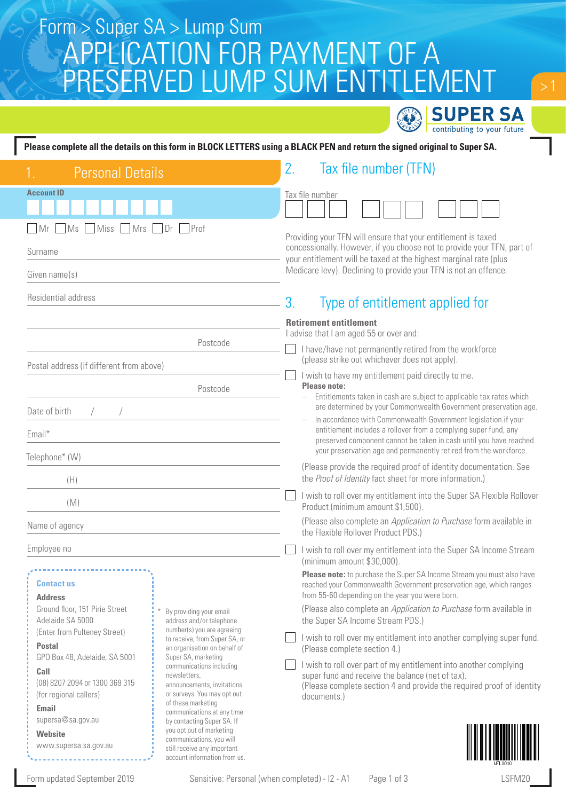# APPLICATION FOR PAYMENT OF A PRESERVED LUMP SUM ENTITLEMENT Form > Super SA > Lump Sum

|                                                                                                                                                                                                                                               | <b>SUPER SA</b>                                                                                                                                                                                                                                                                   |  |  |  |
|-----------------------------------------------------------------------------------------------------------------------------------------------------------------------------------------------------------------------------------------------|-----------------------------------------------------------------------------------------------------------------------------------------------------------------------------------------------------------------------------------------------------------------------------------|--|--|--|
| contributing to your future<br>Please complete all the details on this form in BLOCK LETTERS using a BLACK PEN and return the signed original to Super SA.                                                                                    |                                                                                                                                                                                                                                                                                   |  |  |  |
| <b>Personal Details</b>                                                                                                                                                                                                                       | 2.<br>Tax file number (TFN)                                                                                                                                                                                                                                                       |  |  |  |
| <b>Account ID</b>                                                                                                                                                                                                                             | Tax file number                                                                                                                                                                                                                                                                   |  |  |  |
| MS<br>Miss<br>$\n  1 Mrs$<br>Prof<br>Mr<br>Dr<br>Surname<br>Given name(s)                                                                                                                                                                     | Providing your TFN will ensure that your entitlement is taxed<br>concessionally. However, if you choose not to provide your TFN, part of<br>your entitlement will be taxed at the highest marginal rate (plus<br>Medicare levy). Declining to provide your TFN is not an offence. |  |  |  |
| Residential address                                                                                                                                                                                                                           | 3.<br>Type of entitlement applied for                                                                                                                                                                                                                                             |  |  |  |
| Postcode<br>Postal address (if different from above)                                                                                                                                                                                          | <b>Retirement entitlement</b><br>I advise that I am aged 55 or over and:<br>I have/have not permanently retired from the workforce<br>(please strike out whichever does not apply).                                                                                               |  |  |  |
| Postcode<br>Date of birth                                                                                                                                                                                                                     | I wish to have my entitlement paid directly to me.<br>Please note:<br>Entitlements taken in cash are subject to applicable tax rates which<br>are determined by your Commonwealth Government preservation age.<br>In accordance with Commonwealth Government legislation if your  |  |  |  |
| Email*<br>Telephone* (W)                                                                                                                                                                                                                      | entitlement includes a rollover from a complying super fund, any<br>preserved component cannot be taken in cash until you have reached<br>your preservation age and permanently retired from the workforce.<br>(Please provide the required proof of identity documentation. See  |  |  |  |
| (H)<br>(M)                                                                                                                                                                                                                                    | the Proof of Identity fact sheet for more information.)<br>I wish to roll over my entitlement into the Super SA Flexible Rollover<br>Product (minimum amount \$1,500).                                                                                                            |  |  |  |
| Name of agency                                                                                                                                                                                                                                | (Please also complete an Application to Purchase form available in<br>the Flexible Rollover Product PDS.)                                                                                                                                                                         |  |  |  |
| Employee no<br><b>Contact us</b>                                                                                                                                                                                                              | I wish to roll over my entitlement into the Super SA Income Stream<br>(minimum amount \$30,000).<br>Please note: to purchase the Super SA Income Stream you must also have<br>reached your Commonwealth Government preservation age, which ranges                                 |  |  |  |
| <b>Address</b><br>Ground floor, 151 Pirie Street<br>By providing your email<br>Adelaide SA 5000<br>address and/or telephone<br>number(s) you are agreeing<br>(Enter from Pulteney Street)                                                     | from 55-60 depending on the year you were born.<br>(Please also complete an Application to Purchase form available in<br>the Super SA Income Stream PDS.)                                                                                                                         |  |  |  |
| to receive, from Super SA, or<br><b>Postal</b><br>an organisation on behalf of<br>Super SA, marketing<br>GPO Box 48, Adelaide, SA 5001                                                                                                        | I wish to roll over my entitlement into another complying super fund.<br>(Please complete section 4.)                                                                                                                                                                             |  |  |  |
| communications including<br>Call<br>newsletters,<br>(08) 8207 2094 or 1300 369 315<br>announcements, invitations<br>or surveys. You may opt out<br>(for regional callers)<br>of these marketing<br><b>Email</b><br>communications at any time | I wish to roll over part of my entitlement into another complying<br>super fund and receive the balance (net of tax).<br>(Please complete section 4 and provide the required proof of identity<br>documents.)                                                                     |  |  |  |
| supersa@sa.gov.au<br>by contacting Super SA. If<br>you opt out of marketing<br><b>Website</b><br>communications, you will<br>www.supersa.sa.gov.au<br>still receive any important<br>account information from us.                             |                                                                                                                                                                                                                                                                                   |  |  |  |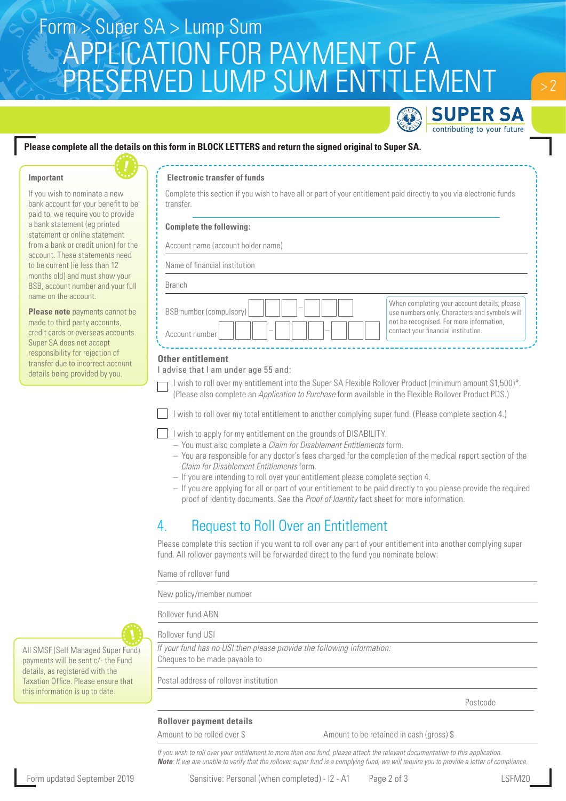# APPLICATION FOR PAYMENT OF A Form > Super SA > Lump Sum PRESERVED LUMP SUM ENTITLEMENT



 $> 2$ 

## **Please complete all the details on this form in BLOCK LETTERS and return the signed original to Super SA.**

#### **Important**



If you wish to nominate a new bank account for your benefit to be paid to, we require you to provide a bank statement (eg printed statement or online statement from a bank or credit union) for the account. These statements need to be current (ie less than 12 months old) and must show your BSB, account number and your full name on the account.

**Please note** payments cannot be made to third party accounts, credit cards or overseas accounts. Super SA does not accept responsibility for rejection of transfer due to incorrect account details being provided by you.

#### **Electronic transfer of funds**

Complete this section if you wish to have all or part of your entitlement paid directly to you via electronic funds transfer.

#### **Complete the following:**

Account name (account holder name)

| Branch |
|--------|
|        |

| BSB number (compulsory)<br>Account number | When completing your account details, please<br>use numbers only. Characters and symbols will<br>not be recognised. For more information,<br>contact your financial institution. |
|-------------------------------------------|----------------------------------------------------------------------------------------------------------------------------------------------------------------------------------|

#### **Other entitlement**

I advise that I am under age 55 and:

I wish to roll over my entitlement into the Super SA Flexible Rollover Product (minimum amount \$1,500)\*. (Please also complete an *Application to Purchase* form available in the Flexible Rollover Product PDS.)

I wish to roll over my total entitlement to another complying super fund. (Please complete section 4.)

- I wish to apply for my entitlement on the grounds of DISABILITY.
	- You must also complete a *Claim for Disablement Entitlements* form.
	- You are responsible for any doctor's fees charged for the completion of the medical report section of the *Claim for Disablement Entitlements* form.
	- If you are intending to roll over your entitlement please complete section 4.
	- If you are applying for all or part of your entitlement to be paid directly to you please provide the required proof of identity documents. See the *Proof of Identity* fact sheet for more information.

## 4. Request to Roll Over an Entitlement

Please complete this section if you want to roll over any part of your entitlement into another complying super fund. All rollover payments will be forwarded direct to the fund you nominate below:

Name of rollover fund

New policy/member number

Rollover fund ABN

Rollover fund USI

*If your fund has no USI then please provide the following information:* Cheques to be made payable to

Postal address of rollover institution

Postcode and the property of the property of the property of the property of the property of the property of the property of the property of the property of the property of the property of the property of the property of t

## **Rollover payment details**

Amount to be rolled over \$ Amount to be retained in cash (gross) \$

*If you wish to roll over your entitlement to more than one fund, please attach the relevant documentation to this application. Note: If we are unable to verify that the rollover super fund is a complying fund, we will require you to provide a letter of compliance*.



All SMSF (Self Managed Super Fund) payments will be sent c/- the Fund details, as registered with the Taxation Office. Please ensure that this information is up to date.

Form updated September 2019 Sensitive: Personal (when completed) - I2 - A1 Page 2 of 3